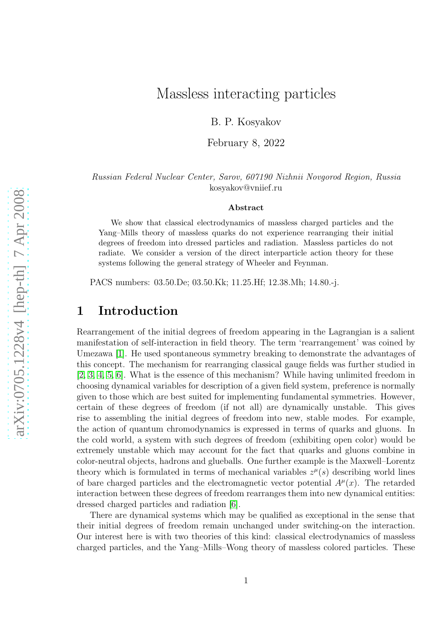# Massless interacting particles

B. P. Kosyakov

February 8, 2022

Russian Federal Nuclear Center, Sarov, 607190 Nizhnii Novgorod Region, Russia kosyakov@vniief.ru

#### Abstract

We show that classical electrodynamics of massless charged particles and the Yang–Mills theory of massless quarks do not experience rearranging their initial degrees of freedom into dressed particles and radiation. Massless particles do not radiate. We consider a version of the direct interparticle action theory for these systems following the general strategy of Wheeler and Feynman.

PACS numbers: 03.50.De; 03.50.Kk; 11.25.Hf; 12.38.Mh; 14.80.-j.

## 1 Introduction

Rearrangement of the initial degrees of freedom appearing in the Lagrangian is a salient manifestation of self-interaction in field theory. The term 'rearrangement' was coined by Umezawa [\[1\]](#page-17-0). He used spontaneous symmetry breaking to demonstrate the advantages of this concept. The mechanism for rearranging classical gauge fields was further studied in [\[2,](#page-17-1) [3,](#page-17-2) [4,](#page-17-3) [5,](#page-18-0) [6\]](#page-18-1). What is the essence of this mechanism? While having unlimited freedom in choosing dynamical variables for description of a given field system, preference is normally given to those which are best suited for implementing fundamental symmetries. However, certain of these degrees of freedom (if not all) are dynamically unstable. This gives rise to assembling the initial degrees of freedom into new, stable modes. For example, the action of quantum chromodynamics is expressed in terms of quarks and gluons. In the cold world, a system with such degrees of freedom (exhibiting open color) would be extremely unstable which may account for the fact that quarks and gluons combine in color-neutral objects, hadrons and glueballs. One further example is the Maxwell–Lorentz theory which is formulated in terms of mechanical variables  $z^{\mu}(s)$  describing world lines of bare charged particles and the electromagnetic vector potential  $A^{\mu}(x)$ . The retarded interaction between these degrees of freedom rearranges them into new dynamical entities: dressed charged particles and radiation [\[6\]](#page-18-1).

There are dynamical systems which may be qualified as exceptional in the sense that their initial degrees of freedom remain unchanged under switching-on the interaction. Our interest here is with two theories of this kind: classical electrodynamics of massless charged particles, and the Yang–Mills–Wong theory of massless colored particles. These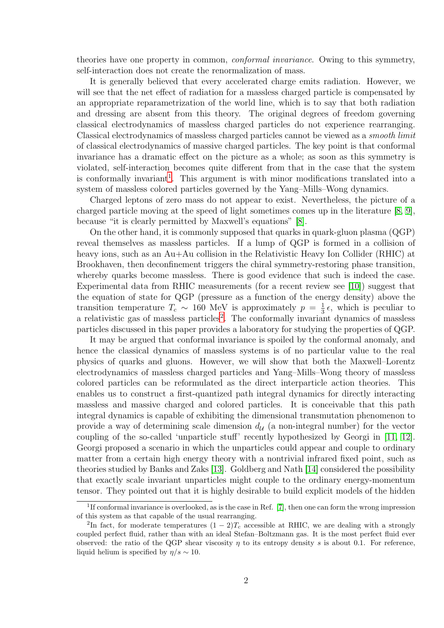theories have one property in common, conformal invariance. Owing to this symmetry, self-interaction does not create the renormalization of mass.

It is generally believed that every accelerated charge emits radiation. However, we will see that the net effect of radiation for a massless charged particle is compensated by an appropriate reparametrization of the world line, which is to say that both radiation and dressing are absent from this theory. The original degrees of freedom governing classical electrodynamics of massless charged particles do not experience rearranging. Classical electrodynamics of massless charged particles cannot be viewed as a smooth limit of classical electrodynamics of massive charged particles. The key point is that conformal invariance has a dramatic effect on the picture as a whole; as soon as this symmetry is violated, self-interaction becomes quite different from that in the case that the system is conformally invariant<sup>[1](#page-1-0)</sup>. This argument is with minor modifications translated into a system of massless colored particles governed by the Yang–Mills–Wong dynamics.

Charged leptons of zero mass do not appear to exist. Nevertheless, the picture of a charged particle moving at the speed of light sometimes comes up in the literature [\[8,](#page-18-2) [9\]](#page-18-3), because "it is clearly permitted by Maxwell's equations" [\[8\]](#page-18-2).

On the other hand, it is commonly supposed that quarks in quark-gluon plasma (QGP) reveal themselves as massless particles. If a lump of QGP is formed in a collision of heavy ions, such as an Au+Au collision in the Relativistic Heavy Ion Collider (RHIC) at Brookhaven, then deconfinement triggers the chiral symmetry-restoring phase transition, whereby quarks become massless. There is good evidence that such is indeed the case. Experimental data from RHIC measurements (for a recent review see [\[10\]](#page-18-4)) suggest that the equation of state for QGP (pressure as a function of the energy density) above the transition temperature  $T_c \sim 160$  MeV is approximately  $p = \frac{1}{3}$  $\frac{1}{3}\epsilon$ , which is peculiar to a relativistic gas of massless particles<sup>[2](#page-1-1)</sup>. The conformally invariant dynamics of massless particles discussed in this paper provides a laboratory for studying the properties of QGP.

It may be argued that conformal invariance is spoiled by the conformal anomaly, and hence the classical dynamics of massless systems is of no particular value to the real physics of quarks and gluons. However, we will show that both the Maxwell–Lorentz electrodynamics of massless charged particles and Yang–Mills–Wong theory of massless colored particles can be reformulated as the direct interparticle action theories. This enables us to construct a first-quantized path integral dynamics for directly interacting massless and massive charged and colored particles. It is conceivable that this path integral dynamics is capable of exhibiting the dimensional transmutation phenomenon to provide a way of determining scale dimension  $d_{\mathcal{U}}$  (a non-integral number) for the vector coupling of the so-called 'unparticle stuff' recently hypothesized by Georgi in [\[11,](#page-18-5) [12\]](#page-18-6). Georgi proposed a scenario in which the unparticles could appear and couple to ordinary matter from a certain high energy theory with a nontrivial infrared fixed point, such as theories studied by Banks and Zaks [\[13\]](#page-18-7). Goldberg and Nath [\[14\]](#page-18-8) considered the possibility that exactly scale invariant unparticles might couple to the ordinary energy-momentum tensor. They pointed out that it is highly desirable to build explicit models of the hidden

<sup>&</sup>lt;sup>1</sup>If conformal invariance is overlooked, as is the case in Ref. [\[7\]](#page-18-9), then one can form the wrong impression of this system as that capable of the usual rearranging.

<span id="page-1-1"></span><span id="page-1-0"></span><sup>&</sup>lt;sup>2</sup>In fact, for moderate temperatures  $(1-2)T_c$  accessible at RHIC, we are dealing with a strongly coupled perfect fluid, rather than with an ideal Stefan–Boltzmann gas. It is the most perfect fluid ever observed: the ratio of the QGP shear viscosity  $\eta$  to its entropy density s is about 0.1. For reference, liquid helium is specified by  $\eta/s \sim 10$ .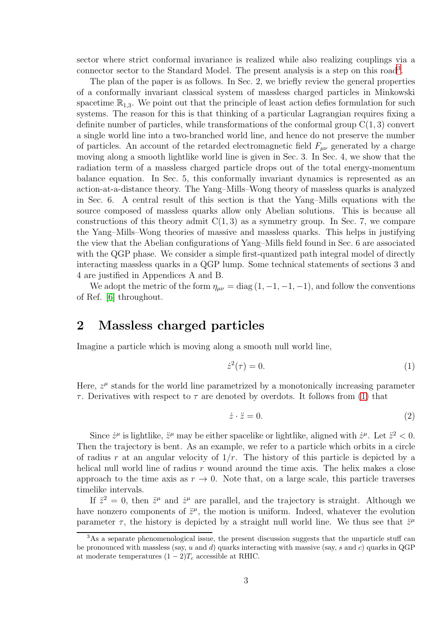sector where strict conformal invariance is realized while also realizing couplings via a connector sector to the Standard Model. The present analysis is a step on this road<sup>[3](#page-2-0)</sup>.

The plan of the paper is as follows. In Sec. 2, we briefly review the general properties of a conformally invariant classical system of massless charged particles in Minkowski spacetime  $\mathbb{R}_{1,3}$ . We point out that the principle of least action defies formulation for such systems. The reason for this is that thinking of a particular Lagrangian requires fixing a definite number of particles, while transformations of the conformal group  $C(1, 3)$  convert a single world line into a two-branched world line, and hence do not preserve the number of particles. An account of the retarded electromagnetic field  $F_{\mu\nu}$  generated by a charge moving along a smooth lightlike world line is given in Sec. 3. In Sec. 4, we show that the radiation term of a massless charged particle drops out of the total energy-momentum balance equation. In Sec. 5, this conformally invariant dynamics is represented as an action-at-a-distance theory. The Yang–Mills–Wong theory of massless quarks is analyzed in Sec. 6. A central result of this section is that the Yang–Mills equations with the source composed of massless quarks allow only Abelian solutions. This is because all constructions of this theory admit  $C(1,3)$  as a symmetry group. In Sec. 7, we compare the Yang–Mills–Wong theories of massive and massless quarks. This helps in justifying the view that the Abelian configurations of Yang–Mills field found in Sec. 6 are associated with the QGP phase. We consider a simple first-quantized path integral model of directly interacting massless quarks in a QGP lump. Some technical statements of sections 3 and 4 are justified in Appendices A and B.

We adopt the metric of the form  $\eta_{\mu\nu} = \text{diag}(1, -1, -1, -1)$ , and follow the conventions of Ref. [\[6\]](#page-18-1) throughout.

#### 2 Massless charged particles

Imagine a particle which is moving along a smooth null world line,

<span id="page-2-1"></span>
$$
\dot{z}^2(\tau) = 0.\tag{1}
$$

Here,  $z^{\mu}$  stands for the world line parametrized by a monotonically increasing parameter  $\tau$ . Derivatives with respect to  $\tau$  are denoted by overdots. It follows from [\(1\)](#page-2-1) that

<span id="page-2-2"></span>
$$
\dot{z} \cdot \ddot{z} = 0. \tag{2}
$$

Since  $\dot{z}^{\mu}$  is lightlike,  $\ddot{z}^{\mu}$  may be either spacelike or lightlike, aligned with  $\dot{z}^{\mu}$ . Let  $\ddot{z}^2 < 0$ . Then the trajectory is bent. As an example, we refer to a particle which orbits in a circle of radius r at an angular velocity of  $1/r$ . The history of this particle is depicted by a helical null world line of radius  $r$  wound around the time axis. The helix makes a close approach to the time axis as  $r \to 0$ . Note that, on a large scale, this particle traverses timelike intervals.

If  $\ddot{z}^2 = 0$ , then  $\ddot{z}^{\mu}$  and  $\dot{z}^{\mu}$  are parallel, and the trajectory is straight. Although we have nonzero components of  $\ddot{z}^{\mu}$ , the motion is uniform. Indeed, whatever the evolution parameter  $\tau$ , the history is depicted by a straight null world line. We thus see that  $\ddot{z}^{\mu}$ 

<span id="page-2-0"></span> $3$ As a separate phenomenological issue, the present discussion suggests that the unparticle stuff can be pronounced with massless (say, u and d) quarks interacting with massive (say, s and c) quarks in QGP at moderate temperatures  $(1-2)T_c$  accessible at RHIC.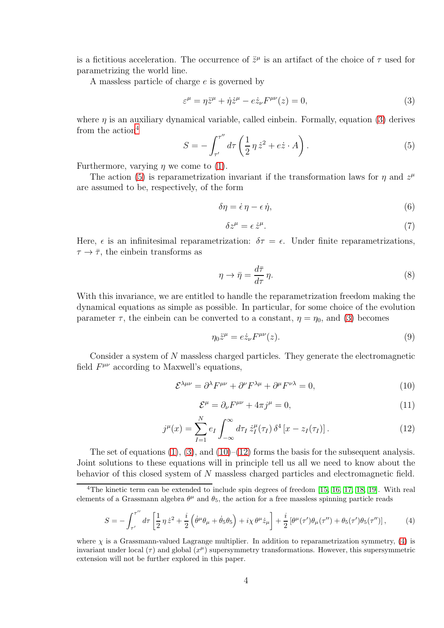is a fictitious acceleration. The occurrence of  $\ddot{z}^{\mu}$  is an artifact of the choice of  $\tau$  used for parametrizing the world line.

A massless particle of charge e is governed by

<span id="page-3-0"></span>
$$
\varepsilon^{\mu} = \eta \ddot{z}^{\mu} + \dot{\eta} \dot{z}^{\mu} - e \dot{z}_{\nu} F^{\mu \nu}(z) = 0, \tag{3}
$$

where  $\eta$  is an auxiliary dynamical variable, called einbein. Formally, equation [\(3\)](#page-3-0) derives from the action<sup>[4](#page-3-1)</sup> ′′

<span id="page-3-2"></span>
$$
S = -\int_{\tau'}^{\tau''} d\tau \left(\frac{1}{2}\eta \dot{z}^2 + e\dot{z} \cdot A\right). \tag{5}
$$

Furthermore, varying  $\eta$  we come to [\(1\)](#page-2-1).

The action [\(5\)](#page-3-2) is reparametrization invariant if the transformation laws for  $\eta$  and  $z^{\mu}$ are assumed to be, respectively, of the form

$$
\delta \eta = \dot{\epsilon} \eta - \epsilon \dot{\eta},\tag{6}
$$

$$
\delta z^{\mu} = \epsilon \,\dot{z}^{\mu}.\tag{7}
$$

Here,  $\epsilon$  is an infinitesimal reparametrization:  $\delta \tau = \epsilon$ . Under finite reparametrizations,  $\tau \to \bar{\tau}$ , the einbein transforms as

<span id="page-3-7"></span>
$$
\eta \to \bar{\eta} = \frac{d\bar{\tau}}{d\tau} \eta. \tag{8}
$$

With this invariance, we are entitled to handle the reparametrization freedom making the dynamical equations as simple as possible. In particular, for some choice of the evolution parameter  $\tau$ , the einbein can be converted to a constant,  $\eta = \eta_0$ , and [\(3\)](#page-3-0) becomes

<span id="page-3-8"></span>
$$
\eta_0 \ddot{z}^\mu = e \dot{z}_\nu F^{\mu\nu}(z). \tag{9}
$$

Consider a system of N massless charged particles. They generate the electromagnetic field  $F^{\mu\nu}$  according to Maxwell's equations,

<span id="page-3-3"></span>
$$
\mathcal{E}^{\lambda\mu\nu} = \partial^{\lambda} F^{\mu\nu} + \partial^{\nu} F^{\lambda\mu} + \partial^{\mu} F^{\nu\lambda} = 0, \tag{10}
$$

<span id="page-3-6"></span>
$$
\mathcal{E}^{\mu} = \partial_{\nu} F^{\mu\nu} + 4\pi j^{\mu} = 0, \qquad (11)
$$

<span id="page-3-4"></span>
$$
j^{\mu}(x) = \sum_{I=1}^{N} e_I \int_{-\infty}^{\infty} d\tau_I \, \dot{z}_I^{\mu}(\tau_I) \, \delta^4 \left[ x - z_I(\tau_I) \right]. \tag{12}
$$

The set of equations  $(1)$ ,  $(3)$ , and  $(10)$ – $(12)$  forms the basis for the subsequent analysis. Joint solutions to these equations will in principle tell us all we need to know about the behavior of this closed system of N massless charged particles and electromagnetic field.

<span id="page-3-5"></span>
$$
S = -\int_{\tau'}^{\tau''} d\tau \left[ \frac{1}{2} \eta \dot{z}^2 + \frac{i}{2} \left( \dot{\theta}^\mu \theta_\mu + \dot{\theta}_5 \theta_5 \right) + i \chi \theta^\mu \dot{z}_\mu \right] + \frac{i}{2} \left[ \theta^\mu (\tau') \theta_\mu (\tau'') + \theta_5 (\tau') \theta_5 (\tau'') \right],\tag{4}
$$

where  $\chi$  is a Grassmann-valued Lagrange multiplier. In addition to reparametrization symmetry, [\(4\)](#page-3-5) is invariant under local  $(\tau)$  and global  $(x^{\mu})$  supersymmetry transformations. However, this supersymmetric extension will not be further explored in this paper.

<span id="page-3-1"></span><sup>&</sup>lt;sup>4</sup>The kinetic term can be extended to include spin degrees of freedom [\[15,](#page-18-10) [16,](#page-18-11) [17,](#page-18-12) [18,](#page-18-13) [19\]](#page-18-14). With real elements of a Grassmann algebra  $\theta^{\mu}$  and  $\theta_{5}$ , the action for a free massless spinning particle reads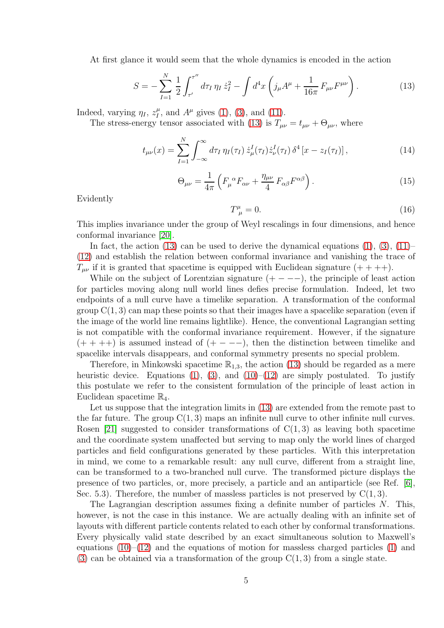At first glance it would seem that the whole dynamics is encoded in the action

<span id="page-4-0"></span>
$$
S = -\sum_{I=1}^{N} \frac{1}{2} \int_{\tau'}^{\tau''} d\tau_I \, \eta_I \, \dot{z}_I^2 - \int d^4x \left( j_\mu A^\mu + \frac{1}{16\pi} F_{\mu\nu} F^{\mu\nu} \right). \tag{13}
$$

Indeed, varying  $\eta_I, z_I^{\mu}$  $_{I}^{\mu}$ , and  $A^{\mu}$  gives [\(1\)](#page-2-1), [\(3\)](#page-3-0), and [\(11\)](#page-3-6).

The stress-energy tensor associated with [\(13\)](#page-4-0) is  $T_{\mu\nu} = t_{\mu\nu} + \Theta_{\mu\nu}$ , where

<span id="page-4-1"></span>
$$
t_{\mu\nu}(x) = \sum_{I=1}^{N} \int_{-\infty}^{\infty} d\tau_I \, \eta_I(\tau_I) \, \dot{z}^I_{\mu}(\tau_I) \dot{z}^I_{\nu}(\tau_I) \, \delta^4 \left[ x - z_I(\tau_I) \right], \tag{14}
$$

<span id="page-4-2"></span>
$$
\Theta_{\mu\nu} = \frac{1}{4\pi} \left( F_{\mu}^{\ \alpha} F_{\alpha\nu} + \frac{\eta_{\mu\nu}}{4} F_{\alpha\beta} F^{\alpha\beta} \right). \tag{15}
$$

Evidently

$$
T^{\mu}_{\ \mu} = 0. \tag{16}
$$

This implies invariance under the group of Weyl rescalings in four dimensions, and hence conformal invariance [\[20\]](#page-18-15).

In fact, the action [\(13\)](#page-4-0) can be used to derive the dynamical equations  $(1)$ ,  $(3)$ ,  $(11)$ – [\(12\)](#page-3-4) and establish the relation between conformal invariance and vanishing the trace of  $T_{\mu\nu}$  if it is granted that spacetime is equipped with Euclidean signature  $(+++)$ .

While on the subject of Lorentzian signature  $(+ - - -)$ , the principle of least action for particles moving along null world lines defies precise formulation. Indeed, let two endpoints of a null curve have a timelike separation. A transformation of the conformal group  $C(1, 3)$  can map these points so that their images have a spacelike separation (even if the image of the world line remains lightlike). Hence, the conventional Lagrangian setting is not compatible with the conformal invariance requirement. However, if the signature  $(+ + + +)$  is assumed instead of  $(+ - - -)$ , then the distinction between timelike and spacelike intervals disappears, and conformal symmetry presents no special problem.

Therefore, in Minkowski spacetime  $\mathbb{R}_{1,3}$ , the action [\(13\)](#page-4-0) should be regarded as a mere heuristic device. Equations [\(1\)](#page-2-1), [\(3\)](#page-3-0), and [\(10\)](#page-3-3)–[\(12\)](#page-3-4) are simply postulated. To justify this postulate we refer to the consistent formulation of the principle of least action in Euclidean spacetime  $\mathbb{R}_4$ .

Let us suppose that the integration limits in  $(13)$  are extended from the remote past to the far future. The group  $C(1, 3)$  maps an infinite null curve to other infinite null curves. Rosen [\[21\]](#page-18-16) suggested to consider transformations of  $C(1,3)$  as leaving both spacetime and the coordinate system unaffected but serving to map only the world lines of charged particles and field configurations generated by these particles. With this interpretation in mind, we come to a remarkable result: any null curve, different from a straight line, can be transformed to a two-branched null curve. The transformed picture displays the presence of two particles, or, more precisely, a particle and an antiparticle (see Ref. [\[6\]](#page-18-1), Sec. 5.3). Therefore, the number of massless particles is not preserved by  $C(1,3)$ .

The Lagrangian description assumes fixing a definite number of particles N. This, however, is not the case in this instance. We are actually dealing with an infinite set of layouts with different particle contents related to each other by conformal transformations. Every physically valid state described by an exact simultaneous solution to Maxwell's equations  $(10)$ – $(12)$  and the equations of motion for massless charged particles  $(1)$  and  $(3)$  can be obtained via a transformation of the group  $C(1,3)$  from a single state.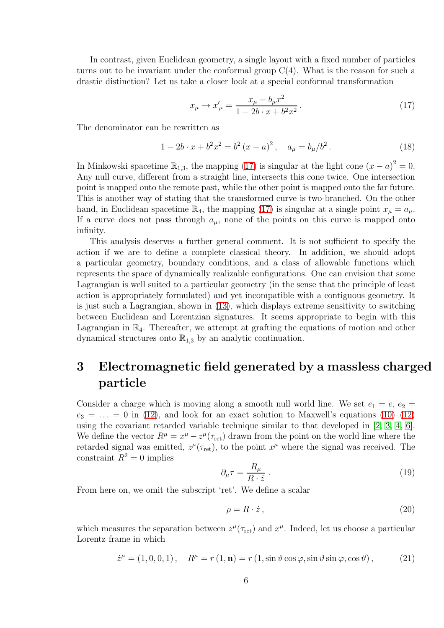In contrast, given Euclidean geometry, a single layout with a fixed number of particles turns out to be invariant under the conformal group  $C(4)$ . What is the reason for such a drastic distinction? Let us take a closer look at a special conformal transformation

<span id="page-5-0"></span>
$$
x_{\mu} \to x'_{\mu} = \frac{x_{\mu} - b_{\mu}x^2}{1 - 2b \cdot x + b^2x^2}.
$$
 (17)

The denominator can be rewritten as

$$
1 - 2b \cdot x + b^2 x^2 = b^2 (x - a)^2, \quad a_\mu = b_\mu / b^2. \tag{18}
$$

In Minkowski spacetime  $\mathbb{R}_{1,3}$ , the mapping [\(17\)](#page-5-0) is singular at the light cone  $(x - a)^2 = 0$ . Any null curve, different from a straight line, intersects this cone twice. One intersection point is mapped onto the remote past, while the other point is mapped onto the far future. This is another way of stating that the transformed curve is two-branched. On the other hand, in Euclidean spacetime  $\mathbb{R}_4$ , the mapping [\(17\)](#page-5-0) is singular at a single point  $x_u = a_u$ . If a curve does not pass through  $a_{\mu}$ , none of the points on this curve is mapped onto infinity.

This analysis deserves a further general comment. It is not sufficient to specify the action if we are to define a complete classical theory. In addition, we should adopt a particular geometry, boundary conditions, and a class of allowable functions which represents the space of dynamically realizable configurations. One can envision that some Lagrangian is well suited to a particular geometry (in the sense that the principle of least action is appropriately formulated) and yet incompatible with a contiguous geometry. It is just such a Lagrangian, shown in [\(13\)](#page-4-0), which displays extreme sensitivity to switching between Euclidean and Lorentzian signatures. It seems appropriate to begin with this Lagrangian in  $\mathbb{R}_4$ . Thereafter, we attempt at grafting the equations of motion and other dynamical structures onto  $\mathbb{R}_{1,3}$  by an analytic continuation.

# 3 Electromagnetic field generated by a massless charged particle

Consider a charge which is moving along a smooth null world line. We set  $e_1 = e$ ,  $e_2 =$  $e_3 = \ldots = 0$  in [\(12\)](#page-3-4), and look for an exact solution to Maxwell's equations [\(10\)](#page-3-3)–[\(12\)](#page-3-4) using the covariant retarded variable technique similar to that developed in [\[2,](#page-17-1) [3,](#page-17-2) [4,](#page-17-3) [6\]](#page-18-1). We define the vector  $R^{\mu} = x^{\mu} - z^{\mu} (\tau_{\text{ret}})$  drawn from the point on the world line where the retarded signal was emitted,  $z^{\mu}(\tau_{\text{ret}})$ , to the point  $x^{\mu}$  where the signal was received. The constraint  $R^2 = 0$  implies

<span id="page-5-1"></span>
$$
\partial_{\mu}\tau = \frac{R_{\mu}}{R \cdot \dot{z}}\,. \tag{19}
$$

From here on, we omit the subscript 'ret'. We define a scalar

<span id="page-5-2"></span>
$$
\rho = R \cdot \dot{z} \,, \tag{20}
$$

which measures the separation between  $z^{\mu}(\tau_{\text{ret}})$  and  $x^{\mu}$ . Indeed, let us choose a particular Lorentz frame in which

<span id="page-5-3"></span>
$$
\dot{z}^{\mu} = (1, 0, 0, 1), \quad R^{\mu} = r(1, \mathbf{n}) = r(1, \sin \vartheta \cos \varphi, \sin \vartheta \sin \varphi, \cos \vartheta), \tag{21}
$$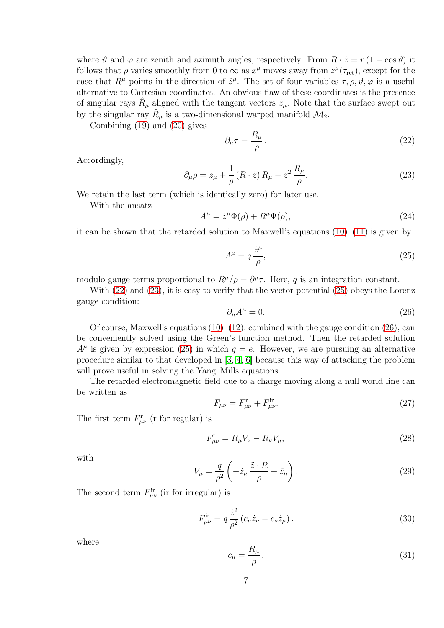where  $\vartheta$  and  $\varphi$  are zenith and azimuth angles, respectively. From  $R \cdot \dot{z} = r(1 - \cos \vartheta)$  it follows that  $\rho$  varies smoothly from 0 to  $\infty$  as  $x^{\mu}$  moves away from  $z^{\mu}(\tau_{\rm ret})$ , except for the case that  $R^{\mu}$  points in the direction of  $\dot{z}^{\mu}$ . The set of four variables  $\tau, \rho, \vartheta, \varphi$  is a useful alternative to Cartesian coordinates. An obvious flaw of these coordinates is the presence of singular rays  $\hat{R}_{\mu}$  aligned with the tangent vectors  $\dot{z}_{\mu}$ . Note that the surface swept out by the singular ray  $\hat{R}_{\mu}$  is a two-dimensional warped manifold  $\mathcal{M}_2$ .

Combining [\(19\)](#page-5-1) and [\(20\)](#page-5-2) gives

<span id="page-6-0"></span>
$$
\partial_{\mu}\tau = \frac{R_{\mu}}{\rho} \,. \tag{22}
$$

Accordingly,

<span id="page-6-1"></span>
$$
\partial_{\mu}\rho = \dot{z}_{\mu} + \frac{1}{\rho} \left( R \cdot \ddot{z} \right) R_{\mu} - \dot{z}^{2} \frac{R_{\mu}}{\rho}.
$$
 (23)

We retain the last term (which is identically zero) for later use.

With the ansatz

$$
A^{\mu} = \dot{z}^{\mu} \Phi(\rho) + R^{\mu} \Psi(\rho), \qquad (24)
$$

it can be shown that the retarded solution to Maxwell's equations  $(10)$ – $(11)$  is given by

<span id="page-6-2"></span>
$$
A^{\mu} = q \frac{\dot{z}^{\mu}}{\rho},\tag{25}
$$

modulo gauge terms proportional to  $R^{\mu}/\rho = \partial^{\mu}\tau$ . Here, q is an integration constant.

With [\(22\)](#page-6-0) and [\(23\)](#page-6-1), it is easy to verify that the vector potential [\(25\)](#page-6-2) obeys the Lorenz gauge condition:

<span id="page-6-3"></span>
$$
\partial_{\mu}A^{\mu} = 0. \tag{26}
$$

Of course, Maxwell's equations  $(10)$ – $(12)$ , combined with the gauge condition  $(26)$ , can be conveniently solved using the Green's function method. Then the retarded solution  $A^{\mu}$  is given by expression [\(25\)](#page-6-2) in which  $q = e$ . However, we are pursuing an alternative procedure similar to that developed in [\[3,](#page-17-2) [4,](#page-17-3) [6\]](#page-18-1) because this way of attacking the problem will prove useful in solving the Yang–Mills equations.

The retarded electromagnetic field due to a charge moving along a null world line can be written as

<span id="page-6-5"></span>
$$
F_{\mu\nu} = F_{\mu\nu}^{\rm r} + F_{\mu\nu}^{\rm ir}.\tag{27}
$$

The first term  $F_{\mu\nu}^{\rm r}$  (r for regular) is

<span id="page-6-8"></span>
$$
F_{\mu\nu}^{\rm r} = R_{\mu}V_{\nu} - R_{\nu}V_{\mu},\tag{28}
$$

with

<span id="page-6-7"></span>
$$
V_{\mu} = \frac{q}{\rho^2} \left( -\dot{z}_{\mu} \frac{\ddot{z} \cdot R}{\rho} + \ddot{z}_{\mu} \right). \tag{29}
$$

The second term  $F^{\text{ir}}_{\mu\nu}$  (ir for irregular) is

<span id="page-6-4"></span>
$$
F^{\rm ir}_{\mu\nu} = q \frac{\dot{z}^2}{\rho^2} (c_\mu \dot{z}_\nu - c_\nu \dot{z}_\mu).
$$
 (30)

where

<span id="page-6-6"></span>
$$
c_{\mu} = \frac{R_{\mu}}{\rho} \,. \tag{31}
$$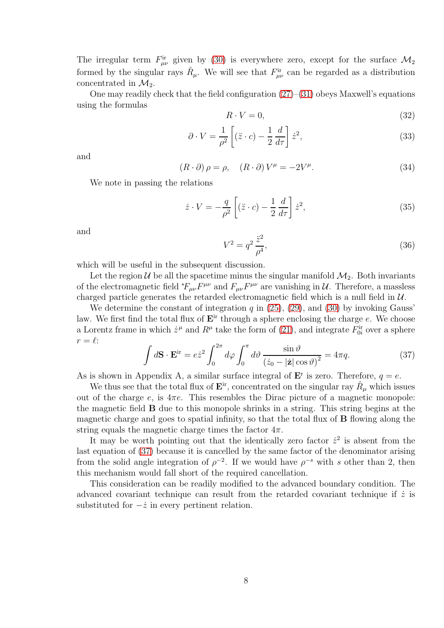The irregular term  $F^{\text{ir}}_{\mu\nu}$  given by [\(30\)](#page-6-4) is everywhere zero, except for the surface  $\mathcal{M}_2$ formed by the singular rays  $\hat{R}_{\mu}$ . We will see that  $F^{\text{ir}}_{\mu\nu}$  can be regarded as a distribution concentrated in  $\mathcal{M}_2$ .

One may readily check that the field configuration  $(27)$ – $(31)$  obeys Maxwell's equations using the formulas

$$
R \cdot V = 0,\t\t(32)
$$

$$
\partial \cdot V = \frac{1}{\rho^2} \left[ (\ddot{z} \cdot c) - \frac{1}{2} \frac{d}{d\tau} \right] \dot{z}^2,\tag{33}
$$

and

$$
(R \cdot \partial) \rho = \rho, \quad (R \cdot \partial) V^{\mu} = -2V^{\mu}.
$$
 (34)

We note in passing the relations

<span id="page-7-2"></span>
$$
\dot{z} \cdot V = -\frac{q}{\rho^2} \left[ (\ddot{z} \cdot c) - \frac{1}{2} \frac{d}{d\tau} \right] \dot{z}^2,\tag{35}
$$

and

<span id="page-7-1"></span>
$$
V^2 = q^2 \frac{\ddot{z}^2}{\rho^4},\tag{36}
$$

which will be useful in the subsequent discussion.

Let the region  $\mathcal U$  be all the spacetime minus the singular manifold  $\mathcal M_2$ . Both invariants of the electromagnetic field  $*F_{\mu\nu}F^{\mu\nu}$  and  $F_{\mu\nu}F^{\mu\nu}$  are vanishing in  $\mathcal{U}$ . Therefore, a massless charged particle generates the retarded electromagnetic field which is a null field in  $\mathcal{U}$ .

We determine the constant of integration  $q$  in  $(25)$ ,  $(29)$ , and  $(30)$  by invoking Gauss' law. We first find the total flux of  $E<sup>ir</sup>$  through a sphere enclosing the charge  $e$ . We choose a Lorentz frame in which  $\dot{z}^{\mu}$  and  $R^{\mu}$  take the form of [\(21\)](#page-5-3), and integrate  $F_{0i}^{ir}$  over a sphere  $r = \ell$ :

<span id="page-7-0"></span>
$$
\int d\mathbf{S} \cdot \mathbf{E}^{\text{ir}} = e\dot{z}^2 \int_0^{2\pi} d\varphi \int_0^{\pi} d\vartheta \, \frac{\sin \vartheta}{\left(\dot{z}_0 - |\dot{\mathbf{z}}| \cos \vartheta\right)^2} = 4\pi q. \tag{37}
$$

As is shown in Appendix A, a similar surface integral of  $\mathbf{E}^r$  is zero. Therefore,  $q = e$ .

We thus see that the total flux of  $\mathbf{E}^{\text{ir}}$ , concentrated on the singular ray  $\hat{R}_{\mu}$  which issues out of the charge e, is  $4\pi e$ . This resembles the Dirac picture of a magnetic monopole: the magnetic field B due to this monopole shrinks in a string. This string begins at the magnetic charge and goes to spatial infinity, so that the total flux of **B** flowing along the string equals the magnetic charge times the factor  $4\pi$ .

It may be worth pointing out that the identically zero factor  $\dot{z}^2$  is absent from the last equation of [\(37\)](#page-7-0) because it is cancelled by the same factor of the denominator arising from the solid angle integration of  $\rho^{-2}$ . If we would have  $\rho^{-s}$  with s other than 2, then this mechanism would fall short of the required cancellation.

This consideration can be readily modified to the advanced boundary condition. The advanced covariant technique can result from the retarded covariant technique if  $\dot{z}$  is substituted for  $-\dot{z}$  in every pertinent relation.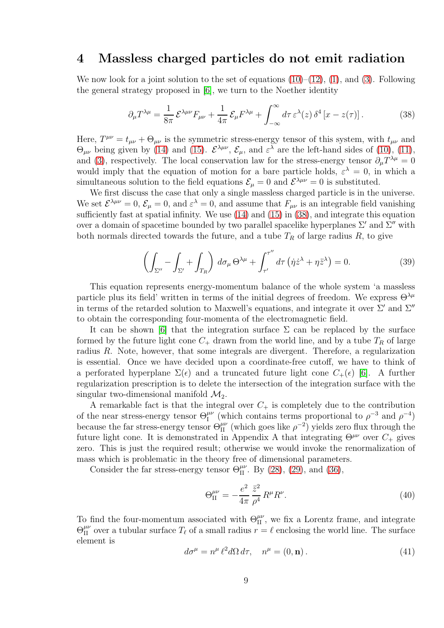#### 4 Massless charged particles do not emit radiation

We now look for a joint solution to the set of equations  $(10)$ – $(12)$ ,  $(1)$ , and  $(3)$ . Following the general strategy proposed in [\[6\]](#page-18-1), we turn to the Noether identity

<span id="page-8-0"></span>
$$
\partial_{\mu}T^{\lambda\mu} = \frac{1}{8\pi} \mathcal{E}^{\lambda\mu\nu} F_{\mu\nu} + \frac{1}{4\pi} \mathcal{E}_{\mu} F^{\lambda\mu} + \int_{-\infty}^{\infty} d\tau \,\varepsilon^{\lambda}(z) \,\delta^4 \left[ x - z(\tau) \right]. \tag{38}
$$

Here,  $T^{\mu\nu} = t_{\mu\nu} + \Theta_{\mu\nu}$  is the symmetric stress-energy tensor of this system, with  $t_{\mu\nu}$  and  $\Theta_{\mu\nu}$  being given by [\(14\)](#page-4-1) and [\(15\)](#page-4-2).  $\mathcal{E}^{\lambda\mu\nu}$ ,  $\mathcal{E}_{\mu}$ , and  $\varepsilon^{\lambda}$  are the left-hand sides of [\(10\)](#page-3-3), [\(11\)](#page-3-6), and [\(3\)](#page-3-0), respectively. The local conservation law for the stress-energy tensor  $\partial_{\mu}T^{\lambda\mu} = 0$ would imply that the equation of motion for a bare particle holds,  $\varepsilon^{\lambda} = 0$ , in which a simultaneous solution to the field equations  $\mathcal{E}_{\mu} = 0$  and  $\mathcal{E}^{\lambda\mu\nu} = 0$  is substituted.

We first discuss the case that only a single massless charged particle is in the universe. We set  $\mathcal{E}^{\lambda\mu\nu} = 0$ ,  $\mathcal{E}_{\mu} = 0$ , and  $\varepsilon^{\lambda} = 0$ , and assume that  $F_{\mu\nu}$  is an integrable field vanishing sufficiently fast at spatial infinity. We use [\(14\)](#page-4-1) and [\(15\)](#page-4-2) in [\(38\)](#page-8-0), and integrate this equation over a domain of spacetime bounded by two parallel spacelike hyperplanes  $\Sigma'$  and  $\Sigma''$  with both normals directed towards the future, and a tube  $T_R$  of large radius  $R$ , to give

<span id="page-8-3"></span>
$$
\left(\int_{\Sigma''} - \int_{\Sigma'} + \int_{T_R}\right) d\sigma_\mu \Theta^{\lambda \mu} + \int_{\tau'}^{\tau''} d\tau \left(\dot{\eta} \dot{z}^\lambda + \eta \ddot{z}^\lambda\right) = 0. \tag{39}
$$

This equation represents energy-momentum balance of the whole system 'a massless particle plus its field' written in terms of the initial degrees of freedom. We express  $\Theta^{\lambda\mu}$ in terms of the retarded solution to Maxwell's equations, and integrate it over  $\Sigma'$  and  $\Sigma''$ to obtain the corresponding four-momenta of the electromagnetic field.

It can be shown [\[6\]](#page-18-1) that the integration surface  $\Sigma$  can be replaced by the surface formed by the future light cone  $C_+$  drawn from the world line, and by a tube  $T_R$  of large radius R. Note, however, that some integrals are divergent. Therefore, a regularization is essential. Once we have decided upon a coordinate-free cutoff, we have to think of a perforated hyperplane  $\Sigma(\epsilon)$  and a truncated future light cone  $C_+(\epsilon)$  [\[6\]](#page-18-1). A further regularization prescription is to delete the intersection of the integration surface with the singular two-dimensional manifold  $\mathcal{M}_2$ .

A remarkable fact is that the integral over  $C_+$  is completely due to the contribution of the near stress-energy tensor  $\Theta_{I}^{\mu\nu}$  (which contains terms proportional to  $\rho^{-3}$  and  $\rho^{-4}$ ) because the far stress-energy tensor  $\Theta_{II}^{\mu\nu}$  (which goes like  $\rho^{-2}$ ) yields zero flux through the future light cone. It is demonstrated in Appendix A that integrating  $\Theta^{\mu\nu}$  over  $C_+$  gives zero. This is just the required result; otherwise we would invoke the renormalization of mass which is problematic in the theory free of dimensional parameters.

Consider the far stress-energy tensor  $\Theta_{II}^{\mu\nu}$ . By [\(28\)](#page-6-8), [\(29\)](#page-6-7), and [\(36\)](#page-7-1),

<span id="page-8-2"></span>
$$
\Theta_{\rm II}^{\mu\nu} = -\frac{e^2}{4\pi} \frac{\ddot{z}^2}{\rho^4} R^{\mu} R^{\nu}.
$$
 (40)

To find the four-momentum associated with  $\Theta_{II}^{\mu\nu}$ , we fix a Lorentz frame, and integrate  $\Theta_{II}^{\mu\nu}$  over a tubular surface  $T_{\ell}$  of a small radius  $\tau = \ell$  enclosing the world line. The surface element is

<span id="page-8-1"></span>
$$
d\sigma^{\mu} = n^{\mu} \ell^2 d\Omega d\tau, \quad n^{\mu} = (0, \mathbf{n}). \tag{41}
$$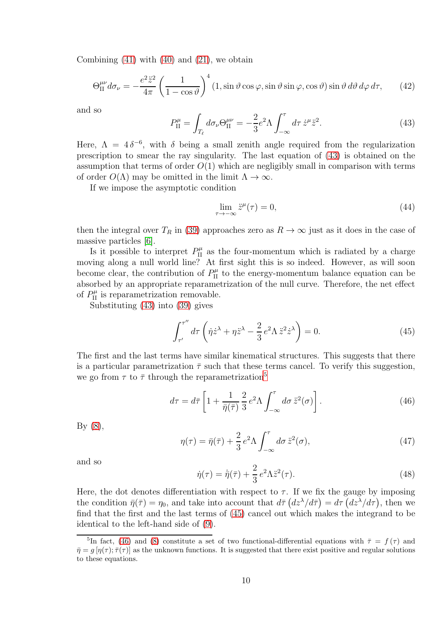Combining  $(41)$  with  $(40)$  and  $(21)$ , we obtain

$$
\Theta_{\text{II}}^{\mu\nu} d\sigma_{\nu} = -\frac{e^2 \ddot{z}^2}{4\pi} \left(\frac{1}{1-\cos\vartheta}\right)^4 (1,\sin\vartheta\cos\varphi,\sin\vartheta\sin\varphi,\cos\vartheta)\sin\vartheta\,d\vartheta\,d\varphi\,d\tau,\qquad(42)
$$

and so

<span id="page-9-0"></span>
$$
P_{\text{II}}^{\mu} = \int_{T_{\ell}} d\sigma_{\nu} \Theta_{\text{II}}^{\mu\nu} = -\frac{2}{3} e^2 \Lambda \int_{-\infty}^{\tau} d\tau \,\dot{z}^{\mu} \ddot{z}^2. \tag{43}
$$

Here,  $\Lambda = 4\delta^{-6}$ , with  $\delta$  being a small zenith angle required from the regularization prescription to smear the ray singularity. The last equation of [\(43\)](#page-9-0) is obtained on the assumption that terms of order  $O(1)$  which are negligibly small in comparison with terms of order  $O(\Lambda)$  may be omitted in the limit  $\Lambda \to \infty$ .

If we impose the asymptotic condition

$$
\lim_{\tau \to -\infty} \ddot{z}^{\mu}(\tau) = 0,\tag{44}
$$

then the integral over  $T_R$  in [\(39\)](#page-8-3) approaches zero as  $R \to \infty$  just as it does in the case of massive particles [\[6\]](#page-18-1).

Is it possible to interpret  $P_{\text{II}}^{\mu}$  as the four-momentum which is radiated by a charge moving along a null world line? At first sight this is so indeed. However, as will soon become clear, the contribution of  $P_{\text{II}}^{\mu}$  to the energy-momentum balance equation can be absorbed by an appropriate reparametrization of the null curve. Therefore, the net effect of  $P_{\text{II}}^{\mu}$  is reparametrization removable.

Substituting [\(43\)](#page-9-0) into [\(39\)](#page-8-3) gives

<span id="page-9-2"></span>
$$
\int_{\tau'}^{\tau''} d\tau \left( \dot{\eta} \dot{z}^{\lambda} + \eta \ddot{z}^{\lambda} - \frac{2}{3} e^2 \Lambda \ddot{z}^2 \dot{z}^{\lambda} \right) = 0.
$$
 (45)

The first and the last terms have similar kinematical structures. This suggests that there is a particular parametrization  $\bar{\tau}$  such that these terms cancel. To verify this suggestion, we go from  $\tau$  to  $\bar{\tau}$  through the reparametrization<sup>[5](#page-9-1)</sup>

<span id="page-9-3"></span>
$$
d\tau = d\bar{\tau} \left[ 1 + \frac{1}{\bar{\eta}(\bar{\tau})} \frac{2}{3} e^2 \Lambda \int_{-\infty}^{\tau} d\sigma \, \ddot{z}^2(\sigma) \right]. \tag{46}
$$

By [\(8\)](#page-3-7),

$$
\eta(\tau) = \bar{\eta}(\bar{\tau}) + \frac{2}{3} e^2 \Lambda \int_{-\infty}^{\tau} d\sigma \, \ddot{z}^2(\sigma), \tag{47}
$$

and so

$$
\dot{\eta}(\tau) = \dot{\bar{\eta}}(\bar{\tau}) + \frac{2}{3} e^2 \Lambda \ddot{z}^2(\tau). \tag{48}
$$

Here, the dot denotes differentiation with respect to  $\tau$ . If we fix the gauge by imposing the condition  $\bar{\eta}(\bar{\tau}) = \eta_0$ , and take into account that  $d\bar{\tau} (dz^{\lambda}/d\bar{\tau}) = d\tau (dz^{\lambda}/d\tau)$ , then we find that the first and the last terms of [\(45\)](#page-9-2) cancel out which makes the integrand to be identical to the left-hand side of [\(9\)](#page-3-8).

<span id="page-9-1"></span><sup>&</sup>lt;sup>5</sup>In fact, [\(46\)](#page-9-3) and [\(8\)](#page-3-7) constitute a set of two functional-differential equations with  $\bar{\tau} = f(\tau)$  and  $\bar{\eta} = g[\eta(\tau); \bar{\tau}(\tau)]$  as the unknown functions. It is suggested that there exist positive and regular solutions to these equations.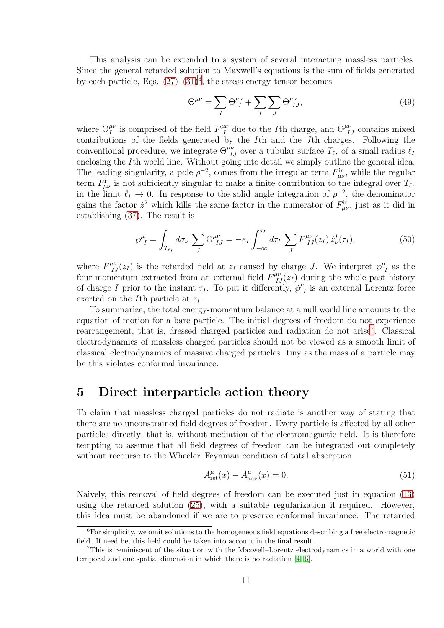This analysis can be extended to a system of several interacting massless particles. Since the general retarded solution to Maxwell's equations is the sum of fields generated by each particle, Eqs.  $(27)-(31)^6$  $(27)-(31)^6$  $(27)-(31)^6$  $(27)-(31)^6$ , the stress-energy tensor becomes

$$
\Theta^{\mu\nu} = \sum_{I} \Theta^{\mu\nu}_{I} + \sum_{I} \sum_{J} \Theta^{\mu\nu}_{IJ},\tag{49}
$$

where  $\Theta^{\mu\nu}_I$  is comprised of the field  $F^{\mu\nu}_I$  due to the *I*th charge, and  $\Theta^{\mu\nu}_{IJ}$  contains mixed contributions of the fields generated by the Ith and the Jth charges. Following the conventional procedure, we integrate  $\Theta^{\mu\nu}_{IJ}$  over a tubular surface  $T_{\ell_I}$  of a small radius  $\ell_I$ enclosing the Ith world line. Without going into detail we simply outline the general idea. The leading singularity, a pole  $\rho^{-2}$ , comes from the irregular term  $F_{\mu\nu}^{ir}$ , while the regular term  $F^{\rm r}_{\mu\nu}$  is not sufficiently singular to make a finite contribution to the integral over  $T_{\ell_I}$ in the limit  $\ell_I \to 0$ . In response to the solid angle integration of  $\rho^{-2}$ , the denominator gains the factor  $\dot{z}^2$  which kills the same factor in the numerator of  $F^{\text{ir}}_{\mu\nu}$ , just as it did in establishing [\(37\)](#page-7-0). The result is

$$
\wp_{I}^{\mu} = \int_{T_{\ell_I}} d\sigma_{\nu} \sum_{J} \Theta_{IJ}^{\mu\nu} = -e_I \int_{-\infty}^{\tau_I} d\tau_I \sum_{J} F_{IJ}^{\mu\nu}(z_I) \dot{z}_{\nu}^I(\tau_I), \tag{50}
$$

where  $F^{\mu\nu}_{IJ}(z_I)$  is the retarded field at  $z_I$  caused by charge J. We interpret  $\wp^{\mu\nu}_{\phantom{\mu\nu}}$  $I_I$  as the four-momentum extracted from an external field  $F^{\mu\nu}_{IJ}(z_I)$  during the whole past history of charge I prior to the instant  $\tau_I$ . To put it differently,  $\wp^{\mu}$  $I_I$  is an external Lorentz force exerted on the I<sup>th</sup> particle at  $z_I$ .

To summarize, the total energy-momentum balance at a null world line amounts to the equation of motion for a bare particle. The initial degrees of freedom do not experience rearrangement, that is, dressed charged particles and radiation do not arise<sup>[7](#page-10-1)</sup>. Classical electrodynamics of massless charged particles should not be viewed as a smooth limit of classical electrodynamics of massive charged particles: tiny as the mass of a particle may be this violates conformal invariance.

#### 5 Direct interparticle action theory

To claim that massless charged particles do not radiate is another way of stating that there are no unconstrained field degrees of freedom. Every particle is affected by all other particles directly, that is, without mediation of the electromagnetic field. It is therefore tempting to assume that all field degrees of freedom can be integrated out completely without recourse to the Wheeler–Feynman condition of total absorption

<span id="page-10-2"></span>
$$
A_{\rm ret}^{\mu}(x) - A_{\rm adv}^{\mu}(x) = 0.
$$
 (51)

Naively, this removal of field degrees of freedom can be executed just in equation [\(13\)](#page-4-0) using the retarded solution [\(25\)](#page-6-2), with a suitable regularization if required. However, this idea must be abandoned if we are to preserve conformal invariance. The retarded

<span id="page-10-0"></span> ${}^{6}$ For simplicity, we omit solutions to the homogeneous field equations describing a free electromagnetic field. If need be, this field could be taken into account in the final result.

<span id="page-10-1"></span><sup>7</sup>This is reminiscent of the situation with the Maxwell–Lorentz electrodynamics in a world with one temporal and one spatial dimension in which there is no radiation [\[4,](#page-17-3) [6\]](#page-18-1).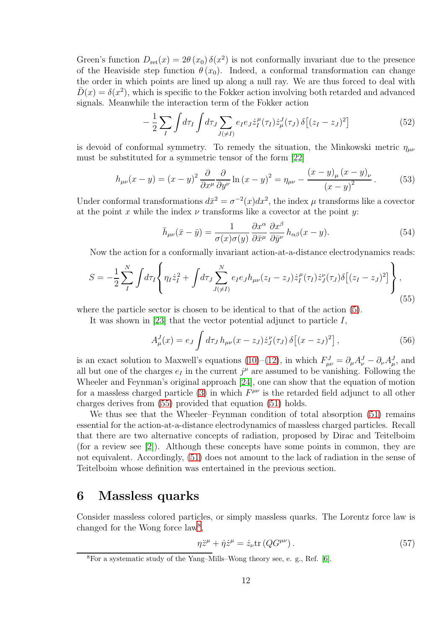Green's function  $D_{\rm ret}(x) = 2\theta(x_0) \,\delta(x^2)$  is not conformally invariant due to the presence of the Heaviside step function  $\theta(x_0)$ . Indeed, a conformal transformation can change the order in which points are lined up along a null ray. We are thus forced to deal with  $\bar{D}(x) = \delta(x^2)$ , which is specific to the Fokker action involving both retarded and advanced signals. Meanwhile the interaction term of the Fokker action

$$
-\frac{1}{2}\sum_{I}\int d\tau_{I}\int d\tau_{J}\sum_{J(\neq I)}e_{I}e_{J}\dot{z}_{I}^{\mu}(\tau_{I})\dot{z}_{\mu}^{J}(\tau_{J})\,\delta\left[(z_{I}-z_{J})^{2}\right]
$$
(52)

is devoid of conformal symmetry. To remedy the situation, the Minkowski metric  $\eta_{\mu\nu}$ must be substituted for a symmetric tensor of the form [\[22\]](#page-18-17)

<span id="page-11-3"></span>
$$
h_{\mu\nu}(x-y) = (x-y)^2 \frac{\partial}{\partial x^{\mu}} \frac{\partial}{\partial y^{\nu}} \ln(x-y)^2 = \eta_{\mu\nu} - \frac{(x-y)_{\mu}(x-y)_{\nu}}{(x-y)^2}.
$$
 (53)

Under conformal transformations  $d\bar{x}^2 = \sigma^{-2}(x)dx^2$ , the index  $\mu$  transforms like a covector at the point x while the index  $\nu$  transforms like a covector at the point y:

$$
\bar{h}_{\mu\nu}(\bar{x}-\bar{y}) = \frac{1}{\sigma(x)\sigma(y)} \frac{\partial x^{\alpha}}{\partial \bar{x}^{\mu}} \frac{\partial x^{\beta}}{\partial \bar{y}^{\nu}} h_{\alpha\beta}(x-y). \tag{54}
$$

Now the action for a conformally invariant action-at-a-distance electrodynamics reads:

<span id="page-11-0"></span>
$$
S = -\frac{1}{2} \sum_{I}^{N} \int d\tau_{I} \left\{ \eta_{I} \dot{z}_{I}^{2} + \int d\tau_{J} \sum_{J(\neq I)}^{N} e_{I} e_{J} h_{\mu\nu} (z_{I} - z_{J}) \dot{z}_{I}^{\mu}(\tau_{I}) \dot{z}_{J}^{\nu}(\tau_{J}) \delta \left[ (z_{I} - z_{J})^{2} \right] \right\}, \tag{55}
$$

where the particle sector is chosen to be identical to that of the action [\(5\)](#page-3-2).

It was shown in [\[23\]](#page-18-18) that the vector potential adjunct to particle  $I$ ,

$$
A_{\mu}^{J}(x) = e_{J} \int d\tau_{J} h_{\mu\nu}(x - z_{J}) \dot{z}_{J}^{\nu}(\tau_{J}) \,\delta[(x - z_{J})^{2}], \qquad (56)
$$

is an exact solution to Maxwell's equations [\(10\)](#page-3-3)–[\(12\)](#page-3-4), in which  $F_{\mu\nu}^J = \partial_\mu A_\nu^J - \partial_\nu A_\mu^J$ , and all but one of the charges  $e_I$  in the current  $j^{\mu}$  are assumed to be vanishing. Following the Wheeler and Feynman's original approach [\[24\]](#page-19-0), one can show that the equation of motion for a massless charged particle [\(3\)](#page-3-0) in which  $F^{\mu\nu}$  is the retarded field adjunct to all other charges derives from [\(55\)](#page-11-0) provided that equation [\(51\)](#page-10-2) holds.

We thus see that the Wheeler–Feynman condition of total absorption [\(51\)](#page-10-2) remains essential for the action-at-a-distance electrodynamics of massless charged particles. Recall that there are two alternative concepts of radiation, proposed by Dirac and Teitelboim (for a review see [\[2\]](#page-17-1)). Although these concepts have some points in common, they are not equivalent. Accordingly, [\(51\)](#page-10-2) does not amount to the lack of radiation in the sense of Teitelboim whose definition was entertained in the previous section.

#### 6 Massless quarks

Consider massless colored particles, or simply massless quarks. The Lorentz force law is changed for the Wong force law<sup>[8](#page-11-1)</sup>,

<span id="page-11-2"></span>
$$
\eta \ddot{z}^{\mu} + \dot{\eta} \dot{z}^{\mu} = \dot{z}_{\nu} \text{tr}\left(Q G^{\mu\nu}\right). \tag{57}
$$

<span id="page-11-1"></span><sup>8</sup>For a systematic study of the Yang–Mills–Wong theory see, e. g., Ref. [\[6\]](#page-18-1).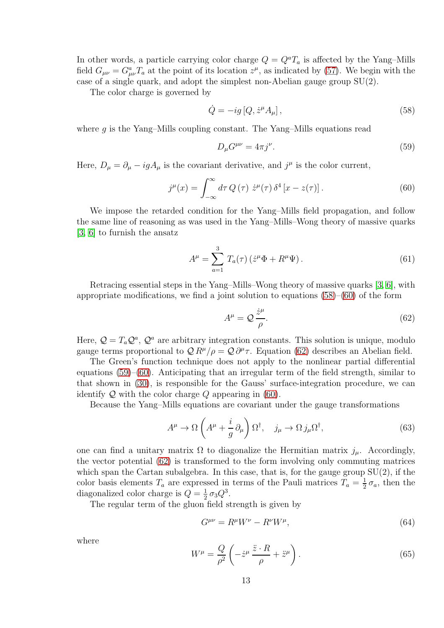In other words, a particle carrying color charge  $Q = Q^a T_a$  is affected by the Yang–Mills field  $G_{\mu\nu} = G_{\mu\nu}^a T_a$  at the point of its location  $z^{\mu}$ , as indicated by [\(57\)](#page-11-2). We begin with the case of a single quark, and adopt the simplest non-Abelian gauge group  $SU(2)$ .

The color charge is governed by

<span id="page-12-0"></span>
$$
\dot{Q} = -ig\left[Q, \dot{z}^{\mu} A_{\mu}\right],\tag{58}
$$

where  $q$  is the Yang–Mills coupling constant. The Yang–Mills equations read

<span id="page-12-3"></span>
$$
D_{\mu}G^{\mu\nu} = 4\pi j^{\nu}.
$$
\n(59)

Here,  $D_{\mu} = \partial_{\mu} - igA_{\mu}$  is the covariant derivative, and  $j^{\mu}$  is the color current,

<span id="page-12-1"></span>
$$
j^{\mu}(x) = \int_{-\infty}^{\infty} d\tau Q(\tau) \ \dot{z}^{\mu}(\tau) \, \delta^{4} \left[ x - z(\tau) \right]. \tag{60}
$$

We impose the retarded condition for the Yang–Mills field propagation, and follow the same line of reasoning as was used in the Yang–Mills–Wong theory of massive quarks [\[3,](#page-17-2) [6\]](#page-18-1) to furnish the ansatz

$$
A^{\mu} = \sum_{a=1}^{3} T_a(\tau) \left( \dot{z}^{\mu} \Phi + R^{\mu} \Psi \right).
$$
 (61)

Retracing essential steps in the Yang–Mills–Wong theory of massive quarks [\[3,](#page-17-2) [6\]](#page-18-1), with appropriate modifications, we find a joint solution to equations  $(58)$ – $(60)$  of the form

<span id="page-12-2"></span>
$$
A^{\mu} = \mathcal{Q} \frac{\dot{z}^{\mu}}{\rho}.
$$
 (62)

Here,  $\mathcal{Q} = T_a \mathcal{Q}^a$ ,  $\mathcal{Q}^a$  are arbitrary integration constants. This solution is unique, modulo gauge terms proportional to  $\mathcal{Q}R^{\mu}/\rho = \mathcal{Q}\partial^{\mu}\tau$ . Equation [\(62\)](#page-12-2) describes an Abelian field.

The Green's function technique does not apply to the nonlinear partial differential equations [\(59\)](#page-12-3)–[\(60\)](#page-12-1). Anticipating that an irregular term of the field strength, similar to that shown in [\(30\)](#page-6-4), is responsible for the Gauss' surface-integration procedure, we can identify  $Q$  with the color charge  $Q$  appearing in [\(60\)](#page-12-1).

Because the Yang–Mills equations are covariant under the gauge transformations

$$
A^{\mu} \to \Omega \left( A^{\mu} + \frac{i}{g} \partial_{\mu} \right) \Omega^{\dagger}, \quad j_{\mu} \to \Omega j_{\mu} \Omega^{\dagger}, \tag{63}
$$

one can find a unitary matrix  $\Omega$  to diagonalize the Hermitian matrix  $j_{\mu}$ . Accordingly, the vector potential [\(62\)](#page-12-2) is transformed to the form involving only commuting matrices which span the Cartan subalgebra. In this case, that is, for the gauge group  $SU(2)$ , if the color basis elements  $T_a$  are expressed in terms of the Pauli matrices  $T_a = \frac{1}{2}$  $\frac{1}{2} \sigma_a$ , then the diagonalized color charge is  $Q = \frac{1}{2}$  $rac{1}{2}\sigma_3Q^3$ .

The regular term of the gluon field strength is given by

<span id="page-12-4"></span>
$$
G^{\mu\nu} = R^{\mu}W^{\nu} - R^{\nu}W^{\mu},\tag{64}
$$

where

<span id="page-12-5"></span>
$$
W^{\mu} = \frac{Q}{\rho^2} \left( -\dot{z}^{\mu} \frac{\ddot{z} \cdot R}{\rho} + \ddot{z}^{\mu} \right). \tag{65}
$$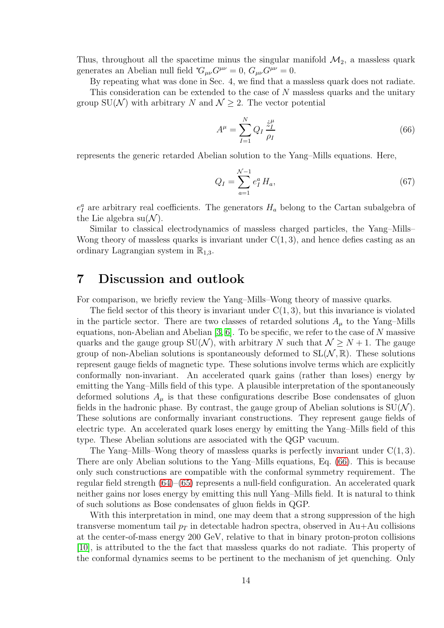Thus, throughout all the spacetime minus the singular manifold  $\mathcal{M}_2$ , a massless quark generates an Abelian null field  $^{*}G_{\mu\nu}G^{\mu\nu}=0$ ,  $G_{\mu\nu}G^{\mu\nu}=0$ .

By repeating what was done in Sec. 4, we find that a massless quark does not radiate.

This consideration can be extended to the case of  $N$  massless quarks and the unitary group SU(N) with arbitrary N and  $\mathcal{N} \geq 2$ . The vector potential

<span id="page-13-0"></span>
$$
A^{\mu} = \sum_{I=1}^{N} Q_I \frac{\dot{z}_I^{\mu}}{\rho_I} \tag{66}
$$

represents the generic retarded Abelian solution to the Yang–Mills equations. Here,

$$
Q_I = \sum_{a=1}^{N-1} e_I^a H_a,\tag{67}
$$

 $e_I^a$  are arbitrary real coefficients. The generators  $H_a$  belong to the Cartan subalgebra of the Lie algebra  $su(N)$ .

Similar to classical electrodynamics of massless charged particles, the Yang–Mills– Wong theory of massless quarks is invariant under  $C(1, 3)$ , and hence defies casting as an ordinary Lagrangian system in  $\mathbb{R}_{1,3}$ .

#### 7 Discussion and outlook

For comparison, we briefly review the Yang–Mills–Wong theory of massive quarks.

The field sector of this theory is invariant under  $C(1, 3)$ , but this invariance is violated in the particle sector. There are two classes of retarded solutions  $A_\mu$  to the Yang–Mills equations, non-Abelian and Abelian  $[3, 6]$  $[3, 6]$ . To be specific, we refer to the case of N massive quarks and the gauge group SU(N), with arbitrary N such that  $\mathcal{N} \geq N + 1$ . The gauge group of non-Abelian solutions is spontaneously deformed to  $SL(N, \mathbb{R})$ . These solutions represent gauge fields of magnetic type. These solutions involve terms which are explicitly conformally non-invariant. An accelerated quark gains (rather than loses) energy by emitting the Yang–Mills field of this type. A plausible interpretation of the spontaneously deformed solutions  $A_{\mu}$  is that these configurations describe Bose condensates of gluon fields in the hadronic phase. By contrast, the gauge group of Abelian solutions is  $SU(N)$ . These solutions are conformally invariant constructions. They represent gauge fields of electric type. An accelerated quark loses energy by emitting the Yang–Mills field of this type. These Abelian solutions are associated with the QGP vacuum.

The Yang–Mills–Wong theory of massless quarks is perfectly invariant under  $C(1,3)$ . There are only Abelian solutions to the Yang–Mills equations, Eq. [\(66\)](#page-13-0). This is because only such constructions are compatible with the conformal symmetry requirement. The regular field strength [\(64\)](#page-12-4)–[\(65\)](#page-12-5) represents a null-field configuration. An accelerated quark neither gains nor loses energy by emitting this null Yang–Mills field. It is natural to think of such solutions as Bose condensates of gluon fields in QGP.

With this interpretation in mind, one may deem that a strong suppression of the high transverse momentum tail  $p_T$  in detectable hadron spectra, observed in Au+Au collisions at the center-of-mass energy 200 GeV, relative to that in binary proton-proton collisions [\[10\]](#page-18-4), is attributed to the the fact that massless quarks do not radiate. This property of the conformal dynamics seems to be pertinent to the mechanism of jet quenching. Only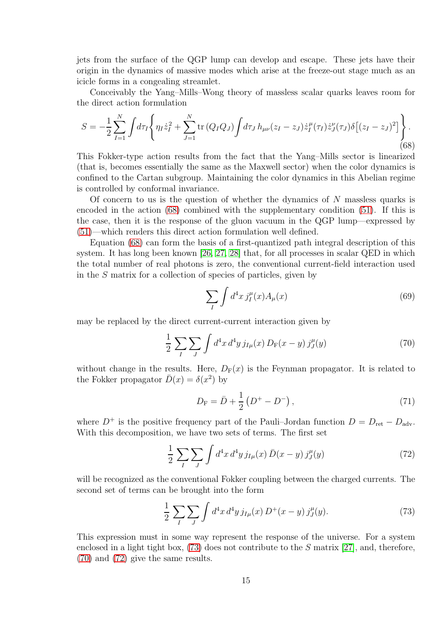jets from the surface of the QGP lump can develop and escape. These jets have their origin in the dynamics of massive modes which arise at the freeze-out stage much as an icicle forms in a congealing streamlet.

Conceivably the Yang–Mills–Wong theory of massless scalar quarks leaves room for the direct action formulation

<span id="page-14-0"></span>
$$
S = -\frac{1}{2} \sum_{I=1}^{N} \int d\tau_I \left\{ \eta_I \dot{z}_I^2 + \sum_{J=1}^{N} \text{tr}\left(Q_I Q_J\right) \int d\tau_J \, h_{\mu\nu} (z_I - z_J) \dot{z}_I^{\mu}(\tau_I) \dot{z}_J^{\nu}(\tau_J) \delta \left[ (z_I - z_J)^2 \right] \right\}.
$$
\n(68)

This Fokker-type action results from the fact that the Yang–Mills sector is linearized (that is, becomes essentially the same as the Maxwell sector) when the color dynamics is confined to the Cartan subgroup. Maintaining the color dynamics in this Abelian regime is controlled by conformal invariance.

Of concern to us is the question of whether the dynamics of N massless quarks is encoded in the action [\(68\)](#page-14-0) combined with the supplementary condition [\(51\)](#page-10-2). If this is the case, then it is the response of the gluon vacuum in the QGP lump—expressed by [\(51\)](#page-10-2)—which renders this direct action formulation well defined.

Equation [\(68\)](#page-14-0) can form the basis of a first-quantized path integral description of this system. It has long been known [\[26,](#page-19-1) [27,](#page-19-2) [28\]](#page-19-3) that, for all processes in scalar QED in which the total number of real photons is zero, the conventional current-field interaction used in the S matrix for a collection of species of particles, given by

$$
\sum_{I} \int d^4x \, j_I^{\mu}(x) A_{\mu}(x) \tag{69}
$$

may be replaced by the direct current-current interaction given by

<span id="page-14-2"></span>
$$
\frac{1}{2} \sum_{I} \sum_{J} \int d^4 x \, d^4 y \, j_{I\mu}(x) \, D_{\mathcal{F}}(x - y) \, j^{\mu}_J(y) \tag{70}
$$

without change in the results. Here,  $D_F(x)$  is the Feynman propagator. It is related to the Fokker propagator  $\bar{D}(x) = \delta(x^2)$  by

$$
D_{\rm F} = \bar{D} + \frac{1}{2} \left( D^+ - D^- \right), \tag{71}
$$

where  $D^+$  is the positive frequency part of the Pauli–Jordan function  $D = D_{\text{ret}} - D_{\text{adv}}$ . With this decomposition, we have two sets of terms. The first set

<span id="page-14-3"></span>
$$
\frac{1}{2} \sum_{I} \sum_{J} \int d^4 x \, d^4 y \, j_{I\mu}(x) \, \bar{D}(x-y) \, j_J^{\mu}(y) \tag{72}
$$

will be recognized as the conventional Fokker coupling between the charged currents. The second set of terms can be brought into the form

<span id="page-14-1"></span>
$$
\frac{1}{2} \sum_{I} \sum_{J} \int d^4 x \, d^4 y \, j_{I\mu}(x) \, D^+(x-y) \, j_J^\mu(y). \tag{73}
$$

This expression must in some way represent the response of the universe. For a system enclosed in a light tight box,  $(73)$  does not contribute to the S matrix [\[27\]](#page-19-2), and, therefore, [\(70\)](#page-14-2) and [\(72\)](#page-14-3) give the same results.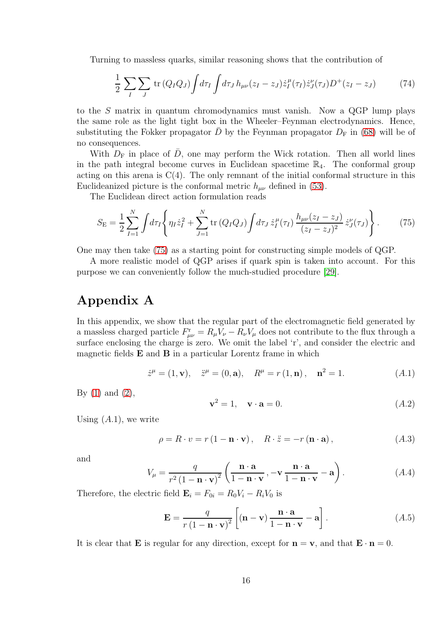Turning to massless quarks, similar reasoning shows that the contribution of

$$
\frac{1}{2}\sum_{I}\sum_{J}\text{tr}\left(Q_{I}Q_{J}\right)\int d\tau_{I}\int d\tau_{J}h_{\mu\nu}(z_{I}-z_{J})\dot{z}_{I}^{\mu}(\tau_{I})\dot{z}_{J}^{\nu}(\tau_{J})D^{+}(z_{I}-z_{J})\tag{74}
$$

to the S matrix in quantum chromodynamics must vanish. Now a QGP lump plays the same role as the light tight box in the Wheeler–Feynman electrodynamics. Hence, substituting the Fokker propagator  $\bar{D}$  by the Feynman propagator  $D_F$  in [\(68\)](#page-14-0) will be of no consequences.

With  $D_F$  in place of  $\bar{D}$ , one may perform the Wick rotation. Then all world lines in the path integral become curves in Euclidean spacetime  $\mathbb{R}_4$ . The conformal group acting on this arena is  $C(4)$ . The only remnant of the initial conformal structure in this Euclideanized picture is the conformal metric  $h_{\mu\nu}$  defined in [\(53\)](#page-11-3).

The Euclidean direct action formulation reads

<span id="page-15-0"></span>
$$
S_{\rm E} = \frac{1}{2} \sum_{I=1}^{N} \int d\tau_I \left\{ \eta_I \dot{z}_I^2 + \sum_{J=1}^{N} \text{tr}\left(Q_I Q_J\right) \int d\tau_J \, \dot{z}_I^{\mu}(\tau_I) \, \frac{h_{\mu\nu}(z_I - z_J)}{(z_I - z_J)^2} \, \dot{z}_J^{\nu}(\tau_J) \right\}.
$$
 (75)

One may then take [\(75\)](#page-15-0) as a starting point for constructing simple models of QGP.

A more realistic model of QGP arises if quark spin is taken into account. For this purpose we can conveniently follow the much-studied procedure [\[29\]](#page-19-4).

# Appendix A

In this appendix, we show that the regular part of the electromagnetic field generated by a massless charged particle  $F_{\mu\nu}^{\rm r} = R_{\mu}V_{\nu} - R_{\nu}V_{\mu}$  does not contribute to the flux through a surface enclosing the charge is zero. We omit the label 'r', and consider the electric and magnetic fields  $E$  and  $B$  in a particular Lorentz frame in which

$$
\dot{z}^{\mu} = (1, \mathbf{v}), \quad \ddot{z}^{\mu} = (0, \mathbf{a}), \quad R^{\mu} = r(1, \mathbf{n}), \quad \mathbf{n}^{2} = 1. \tag{A.1}
$$

By  $(1)$  and  $(2)$ ,

$$
\mathbf{v}^2 = 1, \quad \mathbf{v} \cdot \mathbf{a} = 0. \tag{A.2}
$$

Using  $(A.1)$ , we write

$$
\rho = R \cdot v = r(1 - \mathbf{n} \cdot \mathbf{v}), \quad R \cdot \ddot{z} = -r(\mathbf{n} \cdot \mathbf{a}), \tag{A.3}
$$

and

$$
V_{\mu} = \frac{q}{r^2 (1 - \mathbf{n} \cdot \mathbf{v})^2} \left( \frac{\mathbf{n} \cdot \mathbf{a}}{1 - \mathbf{n} \cdot \mathbf{v}}, -\mathbf{v} \frac{\mathbf{n} \cdot \mathbf{a}}{1 - \mathbf{n} \cdot \mathbf{v}} - \mathbf{a} \right).
$$
 (A.4)

Therefore, the electric field  $\mathbf{E}_i = F_{0i} = R_0 V_i - R_i V_0$  is

$$
\mathbf{E} = \frac{q}{r(1 - \mathbf{n} \cdot \mathbf{v})^2} \left[ (\mathbf{n} - \mathbf{v}) \frac{\mathbf{n} \cdot \mathbf{a}}{1 - \mathbf{n} \cdot \mathbf{v}} - \mathbf{a} \right].
$$
 (A.5)

It is clear that **E** is regular for any direction, except for  $\mathbf{n} = \mathbf{v}$ , and that  $\mathbf{E} \cdot \mathbf{n} = 0$ .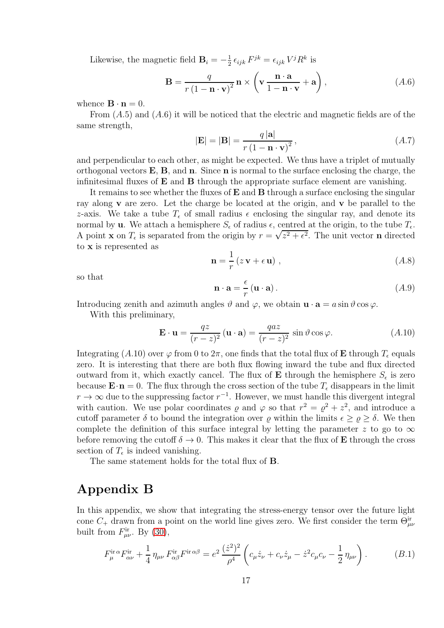Likewise, the magnetic field  $\mathbf{B}_i = -\frac{1}{2}$  $\frac{1}{2} \epsilon_{ijk} F^{jk} = \epsilon_{ijk} V^j R^k$  is

$$
\mathbf{B} = \frac{q}{r(1 - \mathbf{n} \cdot \mathbf{v})^2} \mathbf{n} \times \left(\mathbf{v} \frac{\mathbf{n} \cdot \mathbf{a}}{1 - \mathbf{n} \cdot \mathbf{v}} + \mathbf{a}\right),\tag{A.6}
$$

whence  $\mathbf{B} \cdot \mathbf{n} = 0$ .

From  $(A.5)$  and  $(A.6)$  it will be noticed that the electric and magnetic fields are of the same strength,

$$
|\mathbf{E}| = |\mathbf{B}| = \frac{q |\mathbf{a}|}{r (1 - \mathbf{n} \cdot \mathbf{v})^2},
$$
\n
$$
(A.7)
$$

and perpendicular to each other, as might be expected. We thus have a triplet of mutually orthogonal vectors  $E$ ,  $B$ , and  $n$ . Since  $n$  is normal to the surface enclosing the charge, the infinitesimal fluxes of  $E$  and  $B$  through the appropriate surface element are vanishing.

It remains to see whether the fluxes of  $E$  and  $B$  through a surface enclosing the singular ray along v are zero. Let the charge be located at the origin, and v be parallel to the z-axis. We take a tube  $T_{\epsilon}$  of small radius  $\epsilon$  enclosing the singular ray, and denote its normal by **u**. We attach a hemisphere  $S_{\epsilon}$  of radius  $\epsilon$ , centred at the origin, to the tube  $T_{\epsilon}$ . A point **x** on  $T_{\epsilon}$  is separated from the origin by  $r = \sqrt{z^2 + \epsilon^2}$ . The unit vector **n** directed to x is represented as

$$
\mathbf{n} = \frac{1}{r} (z \mathbf{v} + \epsilon \mathbf{u}) , \qquad (A.8)
$$

so that

$$
\mathbf{n} \cdot \mathbf{a} = \frac{\epsilon}{r} \left( \mathbf{u} \cdot \mathbf{a} \right). \tag{A.9}
$$

Introducing zenith and azimuth angles  $\vartheta$  and  $\varphi$ , we obtain  $\mathbf{u} \cdot \mathbf{a} = a \sin \vartheta \cos \varphi$ .

With this preliminary,

$$
\mathbf{E} \cdot \mathbf{u} = \frac{qz}{(r-z)^2} (\mathbf{u} \cdot \mathbf{a}) = \frac{qaz}{(r-z)^2} \sin \vartheta \cos \varphi.
$$
 (A.10)

Integrating (A.10) over  $\varphi$  from 0 to  $2\pi$ , one finds that the total flux of **E** through  $T_{\epsilon}$  equals zero. It is interesting that there are both flux flowing inward the tube and flux directed outward from it, which exactly cancel. The flux of **E** through the hemisphere  $S_{\epsilon}$  is zero because  $\mathbf{E} \cdot \mathbf{n} = 0$ . The flux through the cross section of the tube  $T_{\epsilon}$  disappears in the limit  $r \to \infty$  due to the suppressing factor  $r^{-1}$ . However, we must handle this divergent integral with caution. We use polar coordinates  $\varrho$  and  $\varphi$  so that  $r^2 = \varrho^2 + z^2$ , and introduce a cutoff parameter  $\delta$  to bound the integration over  $\varrho$  within the limits  $\epsilon \geq \varrho \geq \delta$ . We then complete the definition of this surface integral by letting the parameter z to go to  $\infty$ before removing the cutoff  $\delta \to 0$ . This makes it clear that the flux of **E** through the cross section of  $T_{\epsilon}$  is indeed vanishing.

The same statement holds for the total flux of B.

### Appendix B

In this appendix, we show that integrating the stress-energy tensor over the future light cone  $C_+$  drawn from a point on the world line gives zero. We first consider the term  $\Theta^{\text{ir}}_{\mu\nu}$ built from  $F^{\text{ir}}_{\mu\nu}$ . By [\(30\)](#page-6-4),

$$
F_{\mu}^{\text{ir}\,\alpha}F_{\alpha\nu}^{\text{ir}} + \frac{1}{4}\eta_{\mu\nu}F_{\alpha\beta}^{\text{ir}}F^{\text{ir}\,\alpha\beta} = e^{2}\,\frac{(\dot{z}^{2})^{2}}{\rho^{4}}\left(c_{\mu}\dot{z}_{\nu} + c_{\nu}\dot{z}_{\mu} - \dot{z}^{2}c_{\mu}c_{\nu} - \frac{1}{2}\eta_{\mu\nu}\right). \tag{B.1}
$$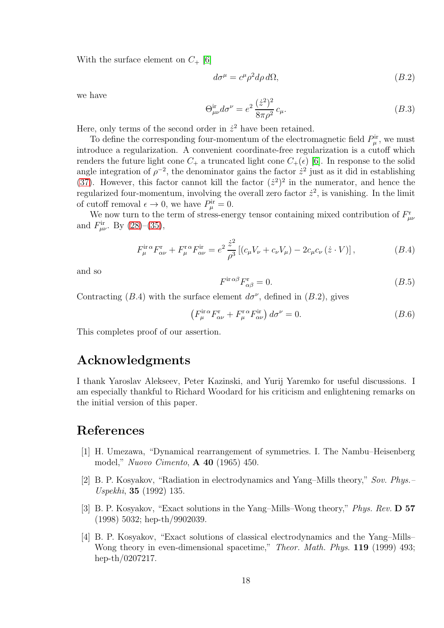With the surface element on  $C_{+}$  [\[6\]](#page-18-1)

$$
d\sigma^{\mu} = c^{\mu} \rho^2 d\rho d\Omega, \qquad (B.2)
$$

we have

$$
\Theta_{\mu\nu}^{\rm ir} d\sigma^{\nu} = e^2 \frac{(\dot{z}^2)^2}{8\pi \rho^2} c_{\mu}.
$$
\n(B.3)

Here, only terms of the second order in  $\dot{z}^2$  have been retained.

To define the corresponding four-momentum of the electromagnetic field  $P^{\text{ir}}_{\mu}$ , we must introduce a regularization. A convenient coordinate-free regularization is a cutoff which renders the future light cone  $C_+$  a truncated light cone  $C_+(\epsilon)$  [\[6\]](#page-18-1). In response to the solid angle integration of  $\rho^{-2}$ , the denominator gains the factor  $\dot{z}^2$  just as it did in establishing [\(37\)](#page-7-0). However, this factor cannot kill the factor  $(z^2)^2$  in the numerator, and hence the regularized four-momentum, involving the overall zero factor  $\dot{z}^2$ , is vanishing. In the limit of cutoff removal  $\epsilon \to 0$ , we have  $P_{\mu}^{\text{ir}} = 0$ .

We now turn to the term of stress-energy tensor containing mixed contribution of  $F^{\rm r}_{\mu\nu}$ and  $F_{\mu\nu}^{ir}$ . By [\(28\)](#page-6-8)–[\(35\)](#page-7-2),

$$
F_{\mu}^{\text{ir}\,\alpha}F_{\alpha\nu}^{\text{r}} + F_{\mu}^{\text{r}\,\alpha}F_{\alpha\nu}^{\text{ir}} = e^{2} \frac{\dot{z}^{2}}{\rho^{3}} \left[ (c_{\mu}V_{\nu} + c_{\nu}V_{\mu}) - 2c_{\mu}c_{\nu} \left( \dot{z} \cdot V \right) \right],\tag{B.4}
$$

and so

$$
F^{\text{ir}\,\alpha\beta}F_{\alpha\beta}^{\text{r}} = 0. \tag{B.5}
$$

Contracting (B.4) with the surface element  $d\sigma^{\nu}$ , defined in (B.2), gives

$$
\left(F_{\mu}^{\text{ir}\,\alpha}F_{\alpha\nu}^{\text{r}} + F_{\mu}^{\text{r}\,\alpha}F_{\alpha\nu}^{\text{ir}}\right)d\sigma^{\nu} = 0. \tag{B.6}
$$

This completes proof of our assertion.

#### Acknowledgments

I thank Yaroslav Alekseev, Peter Kazinski, and Yurij Yaremko for useful discussions. I am especially thankful to Richard Woodard for his criticism and enlightening remarks on the initial version of this paper.

#### <span id="page-17-0"></span>References

- [1] H. Umezawa, "Dynamical rearrangement of symmetries. I. The Nambu–Heisenberg model," Nuovo Cimento, A 40 (1965) 450.
- <span id="page-17-1"></span>[2] B. P. Kosyakov, "Radiation in electrodynamics and Yang–Mills theory," Sov. Phys.– Uspekhi, 35 (1992) 135.
- <span id="page-17-2"></span>[3] B. P. Kosyakov, "Exact solutions in the Yang–Mills–Wong theory," Phys. Rev. D 57 (1998) 5032; hep-th/9902039.
- <span id="page-17-3"></span>[4] B. P. Kosyakov, "Exact solutions of classical electrodynamics and the Yang–Mills– Wong theory in even-dimensional spacetime," Theor. Math. Phys. 119 (1999) 493; hep-th/0207217.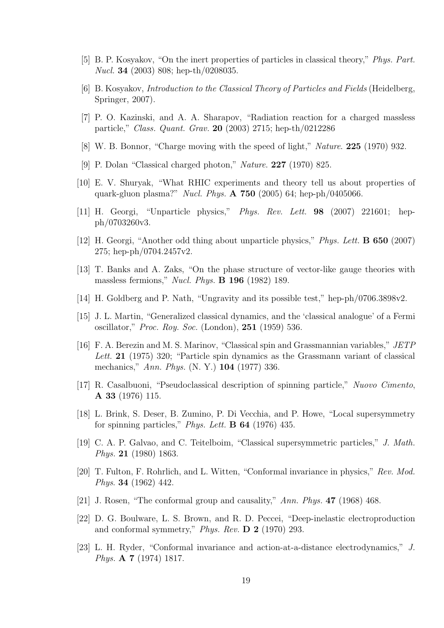- <span id="page-18-1"></span><span id="page-18-0"></span>[5] B. P. Kosyakov, "On the inert properties of particles in classical theory," Phys. Part. Nucl. 34 (2003) 808; hep-th/0208035.
- <span id="page-18-9"></span>[6] B. Kosyakov, Introduction to the Classical Theory of Particles and Fields (Heidelberg, Springer, 2007).
- <span id="page-18-2"></span>[7] P. O. Kazinski, and A. A. Sharapov, "Radiation reaction for a charged massless particle," Class. Quant. Grav. 20 (2003) 2715; hep-th/0212286
- <span id="page-18-3"></span>[8] W. B. Bonnor, "Charge moving with the speed of light," Nature. 225 (1970) 932.
- <span id="page-18-4"></span>[9] P. Dolan "Classical charged photon," Nature. 227 (1970) 825.
- [10] E. V. Shuryak, "What RHIC experiments and theory tell us about properties of quark-gluon plasma?" Nucl. Phys. A 750 (2005) 64; hep-ph/0405066.
- <span id="page-18-6"></span><span id="page-18-5"></span>[11] H. Georgi, "Unparticle physics," Phys. Rev. Lett. 98 (2007) 221601; hepph/0703260v3.
- <span id="page-18-7"></span>[12] H. Georgi, "Another odd thing about unparticle physics," Phys. Lett. B 650 (2007) 275; hep-ph/0704.2457v2.
- <span id="page-18-8"></span>[13] T. Banks and A. Zaks, "On the phase structure of vector-like gauge theories with massless fermions," Nucl. Phys. B 196 (1982) 189.
- <span id="page-18-10"></span>[14] H. Goldberg and P. Nath, "Ungravity and its possible test," hep-ph/0706.3898v2.
- [15] J. L. Martin, "Generalized classical dynamics, and the 'classical analogue' of a Fermi oscillator," Proc. Roy. Soc. (London), 251 (1959) 536.
- <span id="page-18-11"></span>[16] F. A. Berezin and M. S. Marinov, "Classical spin and Grassmannian variables," JETP Lett. 21 (1975) 320; "Particle spin dynamics as the Grassmann variant of classical mechanics," Ann. Phys. (N. Y.) 104 (1977) 336.
- <span id="page-18-12"></span>[17] R. Casalbuoni, "Pseudoclassical description of spinning particle," Nuovo Cimento, A 33 (1976) 115.
- <span id="page-18-13"></span>[18] L. Brink, S. Deser, B. Zumino, P. Di Vecchia, and P. Howe, "Local supersymmetry for spinning particles," *Phys. Lett.*  $\bf{B}$  64 (1976) 435.
- <span id="page-18-14"></span>[19] C. A. P. Galvao, and C. Teitelboim, "Classical supersymmetric particles," J. Math. Phys. 21 (1980) 1863.
- <span id="page-18-15"></span>[20] T. Fulton, F. Rohrlich, and L. Witten, "Conformal invariance in physics," Rev. Mod. Phys. 34 (1962) 442.
- <span id="page-18-17"></span><span id="page-18-16"></span>[21] J. Rosen, "The conformal group and causality," Ann. Phys. **47** (1968) 468.
- [22] D. G. Boulware, L. S. Brown, and R. D. Peccei, "Deep-inelastic electroproduction and conformal symmetry," Phys. Rev. D 2 (1970) 293.
- <span id="page-18-18"></span>[23] L. H. Ryder, "Conformal invariance and action-at-a-distance electrodynamics," J. Phys. A 7 (1974) 1817.